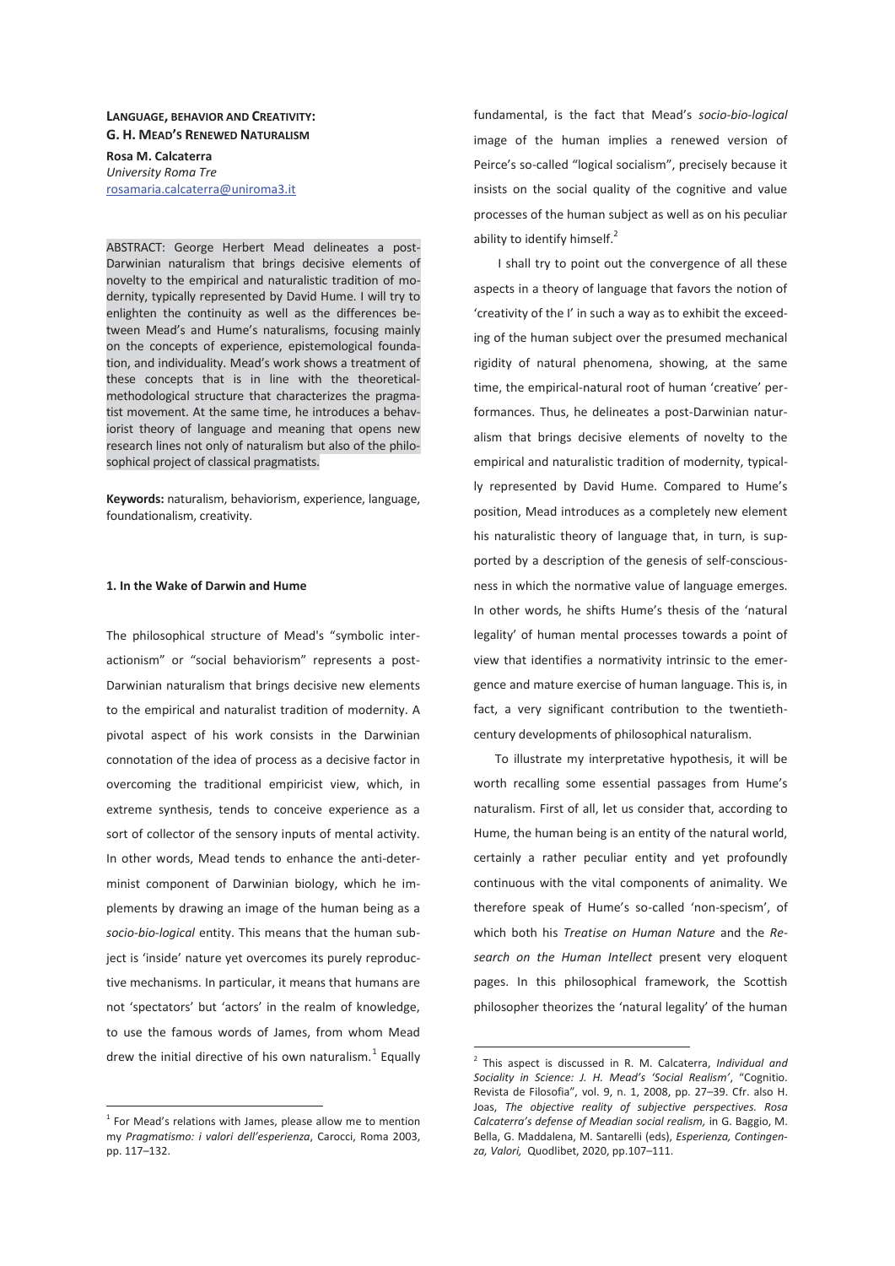## **LANGUAGE, BEHAVIOR AND CREATIVITY: G. H. MEAD'S RENEWED NATURALISM**

**Rosa M. Calcaterra**  *University Roma Tre*  rosamaria.calcaterra@uniroma3.it

ABSTRACT: George Herbert Mead delineates a post-Darwinian naturalism that brings decisive elements of novelty to the empirical and naturalistic tradition of modernity, typically represented by David Hume. I will try to enlighten the continuity as well as the differences between Mead's and Hume's naturalisms, focusing mainly on the concepts of experience, epistemological foundation, and individuality. Mead's work shows a treatment of these concepts that is in line with the theoreticalmethodological structure that characterizes the pragmatist movement. At the same time, he introduces a behaviorist theory of language and meaning that opens new research lines not only of naturalism but also of the philosophical project of classical pragmatists.

**Keywords:** naturalism, behaviorism, experience, language, foundationalism, creativity.

## **1. In the Wake of Darwin and Hume**

The philosophical structure of Mead's "symbolic interactionism" or "social behaviorism" represents a post-Darwinian naturalism that brings decisive new elements to the empirical and naturalist tradition of modernity. A pivotal aspect of his work consists in the Darwinian connotation of the idea of process as a decisive factor in overcoming the traditional empiricist view, which, in extreme synthesis, tends to conceive experience as a sort of collector of the sensory inputs of mental activity. In other words, Mead tends to enhance the anti-determinist component of Darwinian biology, which he implements by drawing an image of the human being as a *socio-bio-logical* entity. This means that the human subject is 'inside' nature yet overcomes its purely reproductive mechanisms. In particular, it means that humans are not 'spectators' but 'actors' in the realm of knowledge, to use the famous words of James, from whom Mead drew the initial directive of his own naturalism. $^{1}$  Equally

 $1$  For Mead's relations with James, please allow me to mention my *Pragmatismo: i valori dell'esperienza*, Carocci, Roma 2003, pp. 117–132.

 $\overline{a}$ 

fundamental, is the fact that Mead's *socio-bio-logical* image of the human implies a renewed version of Peirce's so-called "logical socialism", precisely because it insists on the social quality of the cognitive and value processes of the human subject as well as on his peculiar ability to identify himself. $<sup>2</sup>$ </sup>

 I shall try to point out the convergence of all these aspects in a theory of language that favors the notion of 'creativity of the I' in such a way as to exhibit the exceeding of the human subject over the presumed mechanical rigidity of natural phenomena, showing, at the same time, the empirical-natural root of human 'creative' performances. Thus, he delineates a post-Darwinian naturalism that brings decisive elements of novelty to the empirical and naturalistic tradition of modernity, typically represented by David Hume. Compared to Hume's position, Mead introduces as a completely new element his naturalistic theory of language that, in turn, is supported by a description of the genesis of self-consciousness in which the normative value of language emerges. In other words, he shifts Hume's thesis of the 'natural legality' of human mental processes towards a point of view that identifies a normativity intrinsic to the emergence and mature exercise of human language. This is, in fact, a very significant contribution to the twentiethcentury developments of philosophical naturalism.

To illustrate my interpretative hypothesis, it will be worth recalling some essential passages from Hume's naturalism. First of all, let us consider that, according to Hume, the human being is an entity of the natural world, certainly a rather peculiar entity and yet profoundly continuous with the vital components of animality. We therefore speak of Hume's so-called 'non-specism', of which both his *Treatise on Human Nature* and the *Research on the Human Intellect* present very eloquent pages. In this philosophical framework, the Scottish philosopher theorizes the 'natural legality' of the human

 2 This aspect is discussed in R. M. Calcaterra, *Individual and Sociality in Science: J. H. Mead's 'Social Realism'*, "Cognitio. Revista de Filosofia", vol. 9, n. 1, 2008, pp. 27–39. Cfr. also H. Joas, *The objective reality of subjective perspectives. Rosa Calcaterra's defense of Meadian social realism,* in G. Baggio, M. Bella, G. Maddalena, M. Santarelli (eds), *Esperienza, Contingenza, Valori,* Quodlibet, 2020, pp.107–111.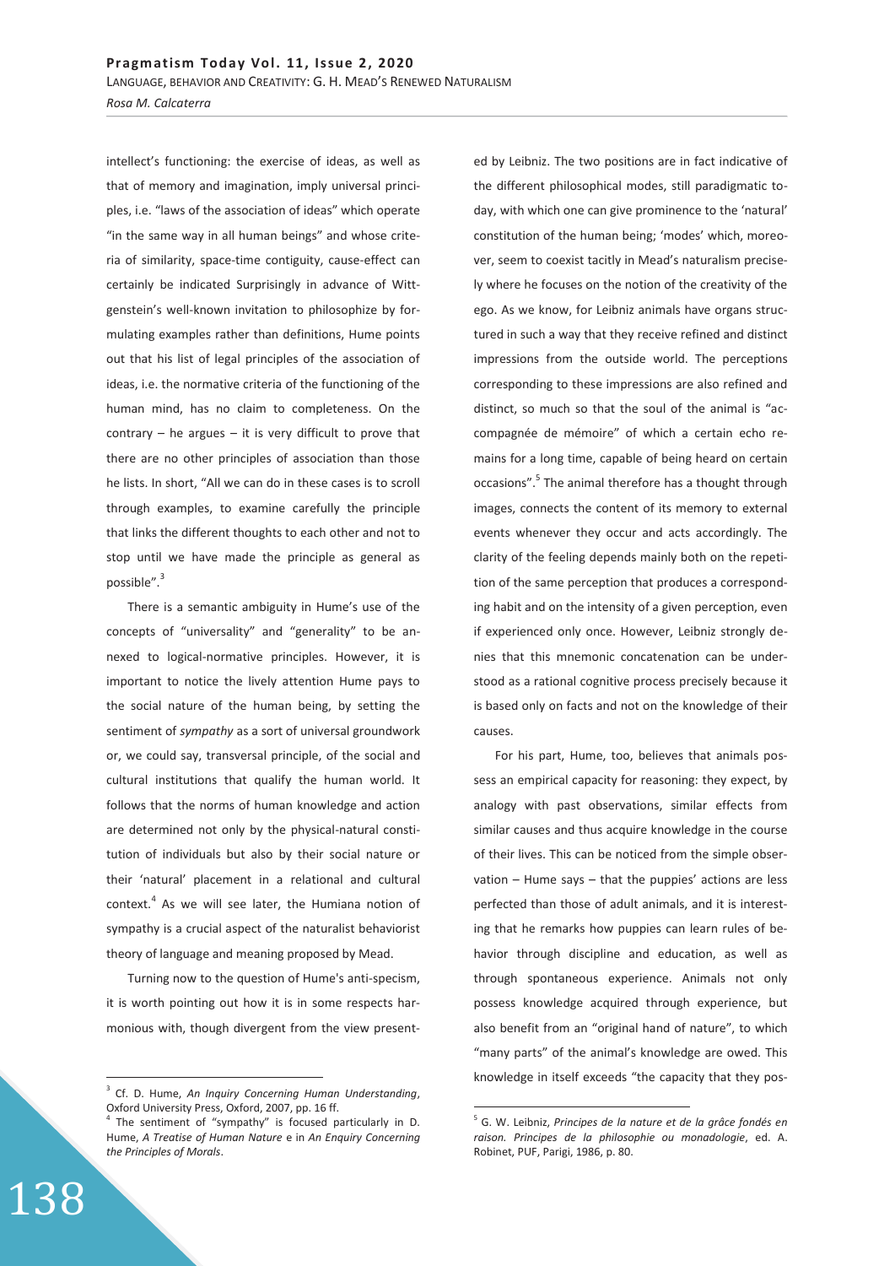intellect's functioning: the exercise of ideas, as well as that of memory and imagination, imply universal principles, i.e. "laws of the association of ideas" which operate "in the same way in all human beings" and whose criteria of similarity, space-time contiguity, cause-effect can certainly be indicated Surprisingly in advance of Wittgenstein's well-known invitation to philosophize by formulating examples rather than definitions, Hume points out that his list of legal principles of the association of ideas, i.e. the normative criteria of the functioning of the human mind, has no claim to completeness. On the contrary  $-$  he argues  $-$  it is very difficult to prove that there are no other principles of association than those he lists. In short, "All we can do in these cases is to scroll through examples, to examine carefully the principle that links the different thoughts to each other and not to stop until we have made the principle as general as possible".<sup>3</sup>

There is a semantic ambiguity in Hume's use of the concepts of "universality" and "generality" to be annexed to logical-normative principles. However, it is important to notice the lively attention Hume pays to the social nature of the human being, by setting the sentiment of *sympathy* as a sort of universal groundwork or, we could say, transversal principle, of the social and cultural institutions that qualify the human world. It follows that the norms of human knowledge and action are determined not only by the physical-natural constitution of individuals but also by their social nature or their 'natural' placement in a relational and cultural context.<sup>4</sup> As we will see later, the Humiana notion of sympathy is a crucial aspect of the naturalist behaviorist theory of language and meaning proposed by Mead.

Turning now to the question of Hume's anti-specism, it is worth pointing out how it is in some respects harmonious with, though divergent from the view present-

ed by Leibniz. The two positions are in fact indicative of the different philosophical modes, still paradigmatic today, with which one can give prominence to the 'natural' constitution of the human being; 'modes' which, moreover, seem to coexist tacitly in Mead's naturalism precisely where he focuses on the notion of the creativity of the ego. As we know, for Leibniz animals have organs structured in such a way that they receive refined and distinct impressions from the outside world. The perceptions corresponding to these impressions are also refined and distinct, so much so that the soul of the animal is "accompagnée de mémoire" of which a certain echo remains for a long time, capable of being heard on certain occasions".<sup>5</sup> The animal therefore has a thought through images, connects the content of its memory to external events whenever they occur and acts accordingly. The clarity of the feeling depends mainly both on the repetition of the same perception that produces a corresponding habit and on the intensity of a given perception, even if experienced only once. However, Leibniz strongly denies that this mnemonic concatenation can be understood as a rational cognitive process precisely because it is based only on facts and not on the knowledge of their causes.

For his part, Hume, too, believes that animals possess an empirical capacity for reasoning: they expect, by analogy with past observations, similar effects from similar causes and thus acquire knowledge in the course of their lives. This can be noticed from the simple observation – Hume says – that the puppies' actions are less perfected than those of adult animals, and it is interesting that he remarks how puppies can learn rules of behavior through discipline and education, as well as through spontaneous experience. Animals not only possess knowledge acquired through experience, but also benefit from an "original hand of nature", to which "many parts" of the animal's knowledge are owed. This knowledge in itself exceeds "the capacity that they pos-

-

 $\overline{a}$ 

<sup>3</sup> Cf. D. Hume, *An Inquiry Concerning Human Understanding*, Oxford University Press, Oxford, 2007, pp. 16 ff.

<sup>&</sup>lt;sup>4</sup> The sentiment of "sympathy" is focused particularly in D. Hume, *A Treatise of Human Nature* e in *An Enquiry Concerning the Principles of Morals*.

<sup>5</sup> G. W. Leibniz, *Principes de la nature et de la grâce fondés en raison. Principes de la philosophie ou monadologie*, ed. A. Robinet, PUF, Parigi, 1986, p. 80.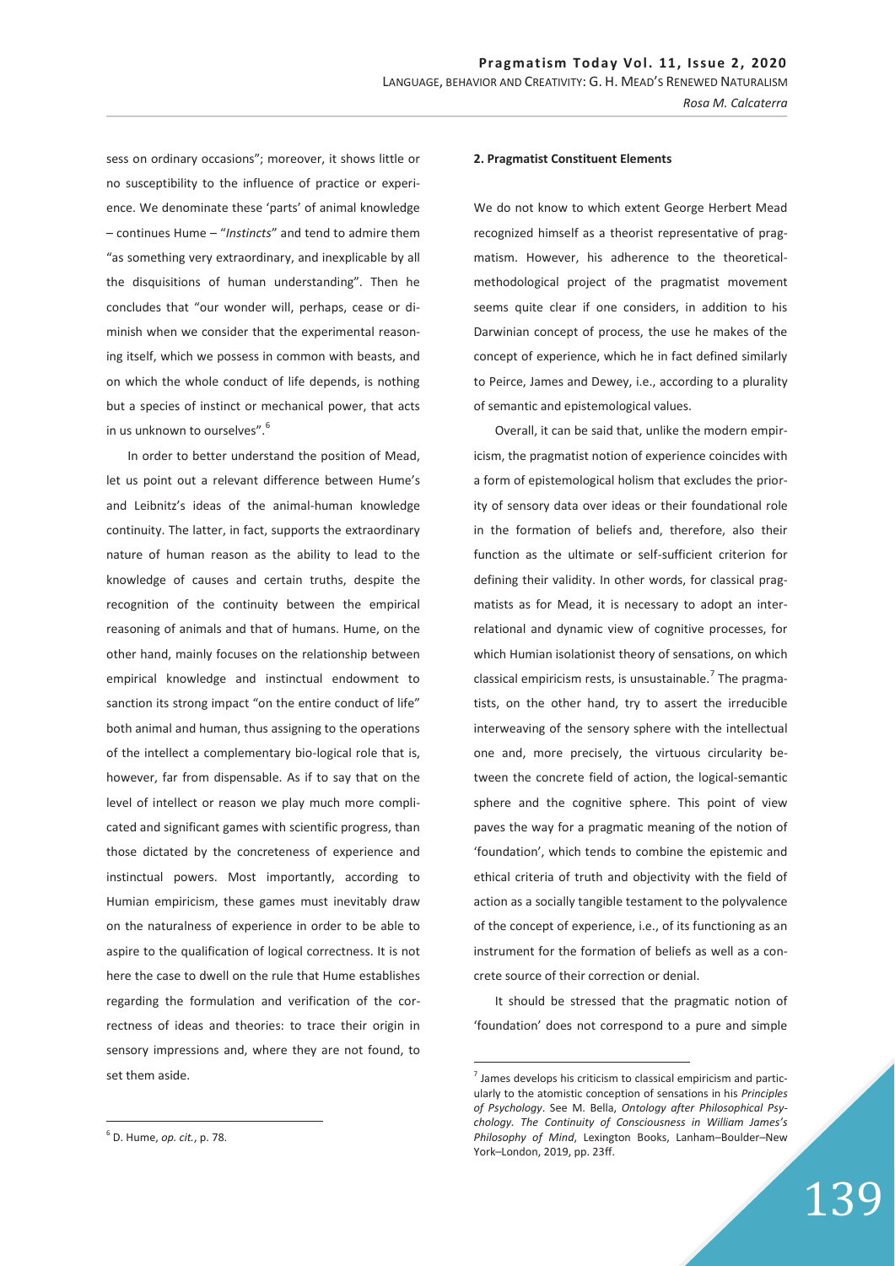sess on ordinary occasions"; moreover, it shows little or no susceptibility to the influence of practice or experience. We denominate these 'parts' of animal knowledge – continues Hume – "*Instincts*" and tend to admire them "as something very extraordinary, and inexplicable by all the disquisitions of human understanding". Then he concludes that "our wonder will, perhaps, cease or diminish when we consider that the experimental reasoning itself, which we possess in common with beasts, and on which the whole conduct of life depends, is nothing but a species of instinct or mechanical power, that acts in us unknown to ourselves".<sup>6</sup>

In order to better understand the position of Mead, let us point out a relevant difference between Hume's and Leibnitz's ideas of the animal-human knowledge continuity. The latter, in fact, supports the extraordinary nature of human reason as the ability to lead to the knowledge of causes and certain truths, despite the recognition of the continuity between the empirical reasoning of animals and that of humans. Hume, on the other hand, mainly focuses on the relationship between empirical knowledge and instinctual endowment to sanction its strong impact "on the entire conduct of life" both animal and human, thus assigning to the operations of the intellect a complementary bio-logical role that is, however, far from dispensable. As if to say that on the level of intellect or reason we play much more complicated and significant games with scientific progress, than those dictated by the concreteness of experience and instinctual powers. Most importantly, according to Humian empiricism, these games must inevitably draw on the naturalness of experience in order to be able to aspire to the qualification of logical correctness. It is not here the case to dwell on the rule that Hume establishes regarding the formulation and verification of the correctness of ideas and theories: to trace their origin in sensory impressions and, where they are not found, to set them aside.

We do not know to which extent George Herbert Mead recognized himself as a theorist representative of pragmatism. However, his adherence to the theoreticalmethodological project of the pragmatist movement seems quite clear if one considers, in addition to his Darwinian concept of process, the use he makes of the concept of experience, which he in fact defined similarly to Peirce, James and Dewey, i.e., according to a plurality of semantic and epistemological values.

Overall, it can be said that, unlike the modern empiricism, the pragmatist notion of experience coincides with a form of epistemological holism that excludes the priority of sensory data over ideas or their foundational role in the formation of beliefs and, therefore, also their function as the ultimate or self-sufficient criterion for defining their validity. In other words, for classical pragmatists as for Mead, it is necessary to adopt an interrelational and dynamic view of cognitive processes, for which Humian isolationist theory of sensations, on which classical empiricism rests, is unsustainable. $^7$  The pragmatists, on the other hand, try to assert the irreducible interweaving of the sensory sphere with the intellectual one and, more precisely, the virtuous circularity between the concrete field of action, the logical-semantic sphere and the cognitive sphere. This point of view paves the way for a pragmatic meaning of the notion of 'foundation', which tends to combine the epistemic and ethical criteria of truth and objectivity with the field of action as a socially tangible testament to the polyvalence of the concept of experience, i.e., of its functioning as an instrument for the formation of beliefs as well as a concrete source of their correction or denial.

It should be stressed that the pragmatic notion of 'foundation' does not correspond to a pure and simple

-

 $\overline{a}$ 

**<sup>2.</sup> Pragmatist Constituent Elements** 

 $<sup>7</sup>$  James develops his criticism to classical empiricism and partic-</sup> ularly to the atomistic conception of sensations in his *Principles of Psychology*. See M. Bella, *Ontology after Philosophical Psychology. The Continuity of Consciousness in William James's Philosophy of Mind*, Lexington Books, Lanham–Boulder–New York–London, 2019, pp. 23ff.

<sup>6</sup> D. Hume, *op. cit.*, p. 78.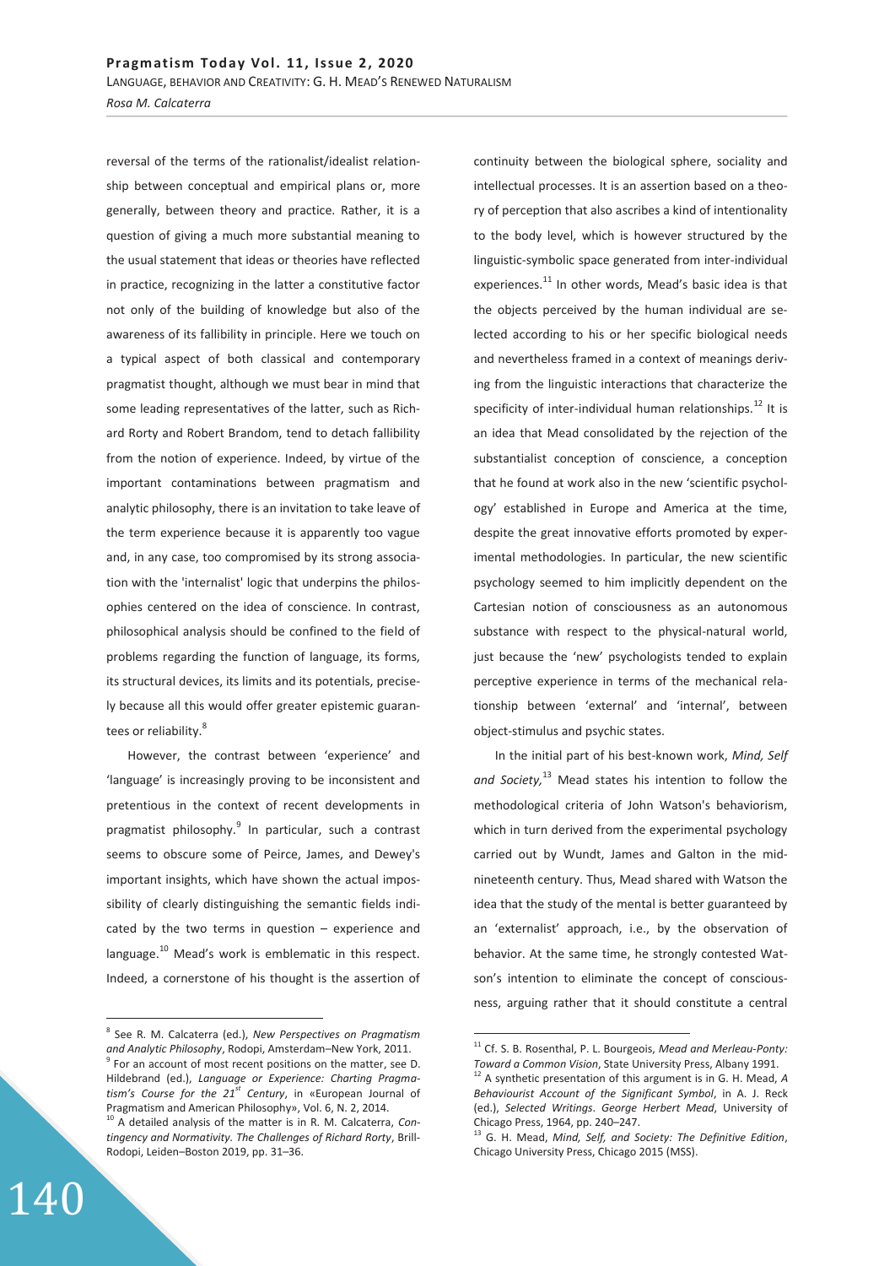reversal of the terms of the rationalist/idealist relationship between conceptual and empirical plans or, more generally, between theory and practice. Rather, it is a question of giving a much more substantial meaning to the usual statement that ideas or theories have reflected in practice, recognizing in the latter a constitutive factor not only of the building of knowledge but also of the awareness of its fallibility in principle. Here we touch on a typical aspect of both classical and contemporary pragmatist thought, although we must bear in mind that some leading representatives of the latter, such as Richard Rorty and Robert Brandom, tend to detach fallibility from the notion of experience. Indeed, by virtue of the important contaminations between pragmatism and analytic philosophy, there is an invitation to take leave of the term experience because it is apparently too vague and, in any case, too compromised by its strong association with the 'internalist' logic that underpins the philosophies centered on the idea of conscience. In contrast, philosophical analysis should be confined to the field of problems regarding the function of language, its forms, its structural devices, its limits and its potentials, precisely because all this would offer greater epistemic guarantees or reliability.<sup>8</sup>

However, the contrast between 'experience' and 'language' is increasingly proving to be inconsistent and pretentious in the context of recent developments in pragmatist philosophy.<sup>9</sup> In particular, such a contrast seems to obscure some of Peirce, James, and Dewey's important insights, which have shown the actual impossibility of clearly distinguishing the semantic fields indicated by the two terms in question – experience and language.<sup>10</sup> Mead's work is emblematic in this respect. Indeed, a cornerstone of his thought is the assertion of

continuity between the biological sphere, sociality and intellectual processes. It is an assertion based on a theory of perception that also ascribes a kind of intentionality to the body level, which is however structured by the linguistic-symbolic space generated from inter-individual experiences.<sup>11</sup> In other words, Mead's basic idea is that the objects perceived by the human individual are selected according to his or her specific biological needs and nevertheless framed in a context of meanings deriving from the linguistic interactions that characterize the specificity of inter-individual human relationships. $^{12}$  It is an idea that Mead consolidated by the rejection of the substantialist conception of conscience, a conception that he found at work also in the new 'scientific psychology' established in Europe and America at the time, despite the great innovative efforts promoted by experimental methodologies. In particular, the new scientific psychology seemed to him implicitly dependent on the Cartesian notion of consciousness as an autonomous substance with respect to the physical-natural world, just because the 'new' psychologists tended to explain perceptive experience in terms of the mechanical relationship between 'external' and 'internal', between object-stimulus and psychic states.

In the initial part of his best-known work, *Mind, Self and Society,*<sup>13</sup> Mead states his intention to follow the methodological criteria of John Watson's behaviorism, which in turn derived from the experimental psychology carried out by Wundt, James and Galton in the midnineteenth century. Thus, Mead shared with Watson the idea that the study of the mental is better guaranteed by an 'externalist' approach, i.e., by the observation of behavior. At the same time, he strongly contested Watson's intention to eliminate the concept of consciousness, arguing rather that it should constitute a central

-

 $\overline{a}$ 8 See R. M. Calcaterra (ed.), *New Perspectives on Pragmatism and Analytic Philosophy*, Rodopi, Amsterdam–New York, 2011. 9  $9^9$  For an account of most recent positions on the matter, see D. Hildebrand (ed.), *Language or Experience: Charting Pragmatism's Course for the 21st Century*, in «European Journal of Pragmatism and American Philosophy», Vol. 6, N. 2, 2014.

<sup>10</sup> A detailed analysis of the matter is in R. M. Calcaterra, *Contingency and Normativity. The Challenges of Richard Rorty*, Brill-Rodopi, Leiden–Boston 2019, pp. 31–36.

<sup>11</sup> Cf. S. B. Rosenthal, P. L. Bourgeois, *Mead and Merleau-Ponty:* 

*Toward a Common Vision*, State University Press, Albany 1991.<br><sup>12</sup> A synthetic presentation of this argument is in G. H. Mead, A *Behaviourist Account of the Significant Symbol*, in A. J. Reck (ed.), *Selected Writings*. *George Herbert Mead*, University of Chicago Press, 1964, pp. 240–247.

<sup>13</sup> G. H. Mead, *Mind, Self, and Society: The Definitive Edition*, Chicago University Press, Chicago 2015 (MSS).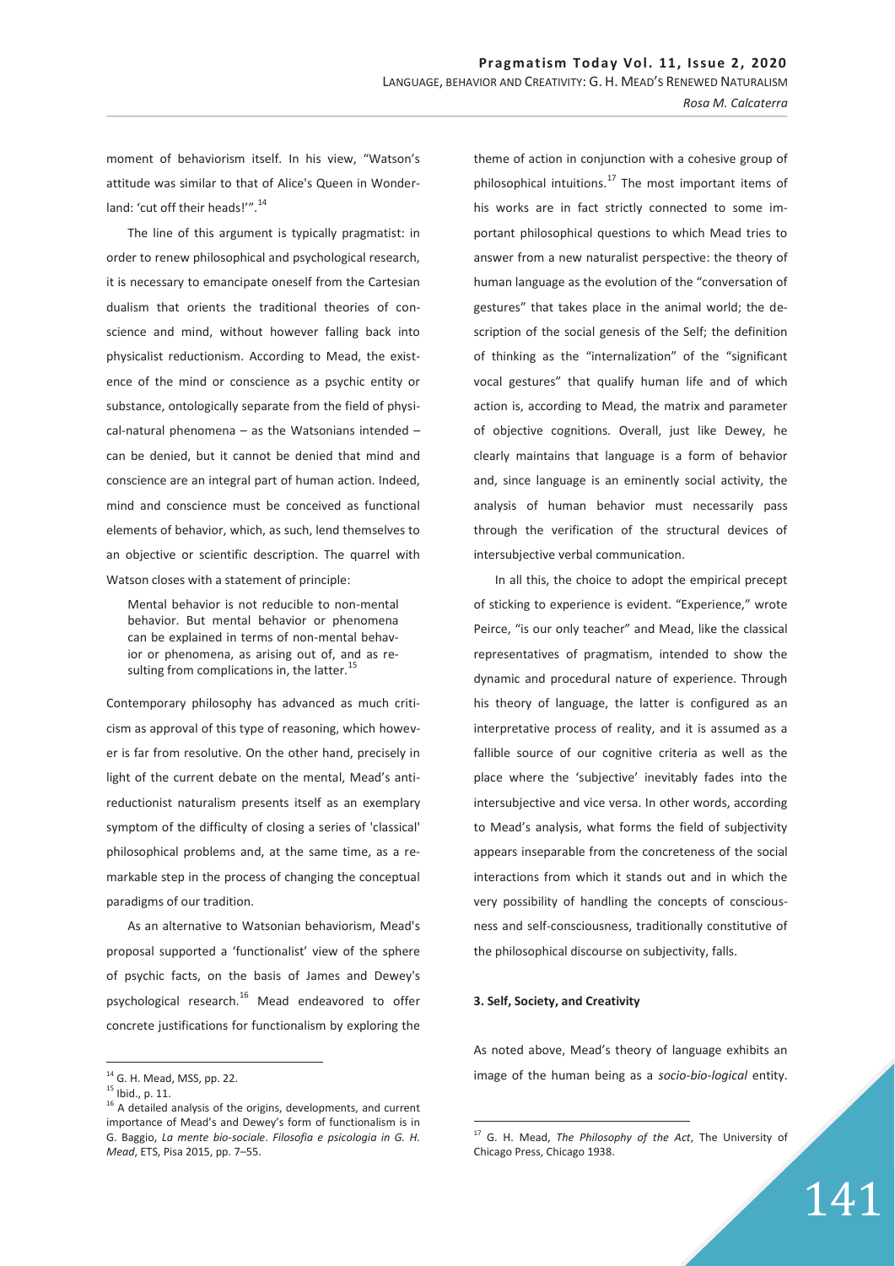moment of behaviorism itself. In his view, "Watson's attitude was similar to that of Alice's Queen in Wonderland: 'cut off their heads!'".<sup>14</sup>

The line of this argument is typically pragmatist: in order to renew philosophical and psychological research, it is necessary to emancipate oneself from the Cartesian dualism that orients the traditional theories of conscience and mind, without however falling back into physicalist reductionism. According to Mead, the existence of the mind or conscience as a psychic entity or substance, ontologically separate from the field of physical-natural phenomena – as the Watsonians intended – can be denied, but it cannot be denied that mind and conscience are an integral part of human action. Indeed, mind and conscience must be conceived as functional elements of behavior, which, as such, lend themselves to an objective or scientific description. The quarrel with Watson closes with a statement of principle:

Mental behavior is not reducible to non-mental behavior. But mental behavior or phenomena can be explained in terms of non-mental behavior or phenomena, as arising out of, and as resulting from complications in, the latter.<sup>15</sup>

Contemporary philosophy has advanced as much criticism as approval of this type of reasoning, which however is far from resolutive. On the other hand, precisely in light of the current debate on the mental, Mead's antireductionist naturalism presents itself as an exemplary symptom of the difficulty of closing a series of 'classical' philosophical problems and, at the same time, as a remarkable step in the process of changing the conceptual paradigms of our tradition.

As an alternative to Watsonian behaviorism, Mead's proposal supported a 'functionalist' view of the sphere of psychic facts, on the basis of James and Dewey's psychological research.<sup>16</sup> Mead endeavored to offer concrete justifications for functionalism by exploring the

 $\overline{a}$ 

theme of action in conjunction with a cohesive group of philosophical intuitions. $^{17}$  The most important items of his works are in fact strictly connected to some important philosophical questions to which Mead tries to answer from a new naturalist perspective: the theory of human language as the evolution of the "conversation of gestures" that takes place in the animal world; the description of the social genesis of the Self; the definition of thinking as the "internalization" of the "significant vocal gestures" that qualify human life and of which action is, according to Mead, the matrix and parameter of objective cognitions. Overall, just like Dewey, he clearly maintains that language is a form of behavior and, since language is an eminently social activity, the analysis of human behavior must necessarily pass through the verification of the structural devices of intersubjective verbal communication.

In all this, the choice to adopt the empirical precept of sticking to experience is evident. "Experience," wrote Peirce, "is our only teacher" and Mead, like the classical representatives of pragmatism, intended to show the dynamic and procedural nature of experience. Through his theory of language, the latter is configured as an interpretative process of reality, and it is assumed as a fallible source of our cognitive criteria as well as the place where the 'subjective' inevitably fades into the intersubjective and vice versa. In other words, according to Mead's analysis, what forms the field of subjectivity appears inseparable from the concreteness of the social interactions from which it stands out and in which the very possibility of handling the concepts of consciousness and self-consciousness, traditionally constitutive of the philosophical discourse on subjectivity, falls.

## **3. Self, Society, and Creativity**

 $\overline{a}$ 

As noted above, Mead's theory of language exhibits an image of the human being as a *socio-bio-logical* entity.

<sup>&</sup>lt;sup>14</sup> G. H. Mead, MSS, pp. 22.

 $15$  Ibid., p. 11.

 $16$  A detailed analysis of the origins, developments, and current importance of Mead's and Dewey's form of functionalism is in G. Baggio, *La mente bio-sociale*. *Filosofia e psicologia in G. H. Mead*, ETS, Pisa 2015, pp. 7–55.

<sup>17</sup> G. H. Mead, *The Philosophy of the Act*, The University of Chicago Press, Chicago 1938.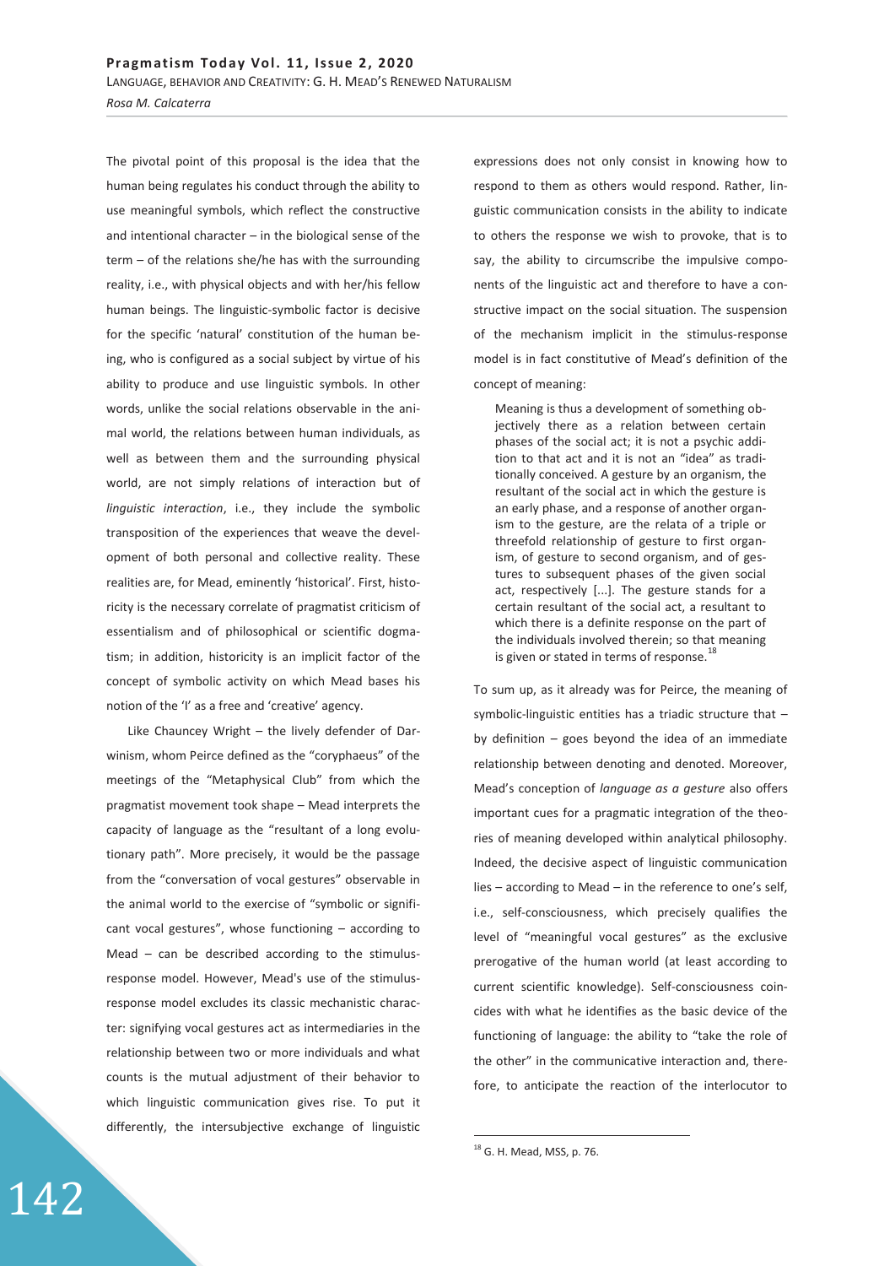The pivotal point of this proposal is the idea that the human being regulates his conduct through the ability to use meaningful symbols, which reflect the constructive and intentional character – in the biological sense of the term – of the relations she/he has with the surrounding reality, i.e., with physical objects and with her/his fellow human beings. The linguistic-symbolic factor is decisive for the specific 'natural' constitution of the human being, who is configured as a social subject by virtue of his ability to produce and use linguistic symbols. In other words, unlike the social relations observable in the animal world, the relations between human individuals, as well as between them and the surrounding physical world, are not simply relations of interaction but of *linguistic interaction*, i.e., they include the symbolic transposition of the experiences that weave the development of both personal and collective reality. These realities are, for Mead, eminently 'historical'. First, historicity is the necessary correlate of pragmatist criticism of essentialism and of philosophical or scientific dogmatism; in addition, historicity is an implicit factor of the concept of symbolic activity on which Mead bases his notion of the 'I' as a free and 'creative' agency.

Like Chauncey Wright – the lively defender of Darwinism, whom Peirce defined as the "coryphaeus" of the meetings of the "Metaphysical Club" from which the pragmatist movement took shape – Mead interprets the capacity of language as the "resultant of a long evolutionary path". More precisely, it would be the passage from the "conversation of vocal gestures" observable in the animal world to the exercise of "symbolic or significant vocal gestures", whose functioning – according to Mead – can be described according to the stimulusresponse model. However, Mead's use of the stimulusresponse model excludes its classic mechanistic character: signifying vocal gestures act as intermediaries in the relationship between two or more individuals and what counts is the mutual adjustment of their behavior to which linguistic communication gives rise. To put it differently, the intersubjective exchange of linguistic

expressions does not only consist in knowing how to respond to them as others would respond. Rather, linguistic communication consists in the ability to indicate to others the response we wish to provoke, that is to say, the ability to circumscribe the impulsive components of the linguistic act and therefore to have a constructive impact on the social situation. The suspension of the mechanism implicit in the stimulus-response model is in fact constitutive of Mead's definition of the concept of meaning:

Meaning is thus a development of something objectively there as a relation between certain phases of the social act; it is not a psychic addition to that act and it is not an "idea" as traditionally conceived. A gesture by an organism, the resultant of the social act in which the gesture is an early phase, and a response of another organism to the gesture, are the relata of a triple or threefold relationship of gesture to first organism, of gesture to second organism, and of gestures to subsequent phases of the given social act, respectively [...]. The gesture stands for a certain resultant of the social act, a resultant to which there is a definite response on the part of the individuals involved therein; so that meaning is given or stated in terms of response.<sup>18</sup>

To sum up, as it already was for Peirce, the meaning of symbolic-linguistic entities has a triadic structure that – by definition – goes beyond the idea of an immediate relationship between denoting and denoted. Moreover, Mead's conception of *language as a gesture* also offers important cues for a pragmatic integration of the theories of meaning developed within analytical philosophy. Indeed, the decisive aspect of linguistic communication lies – according to Mead – in the reference to one's self, i.e., self-consciousness, which precisely qualifies the level of "meaningful vocal gestures" as the exclusive prerogative of the human world (at least according to current scientific knowledge). Self-consciousness coincides with what he identifies as the basic device of the functioning of language: the ability to "take the role of the other" in the communicative interaction and, therefore, to anticipate the reaction of the interlocutor to

-

<sup>&</sup>lt;sup>18</sup> G. H. Mead, MSS, p. 76.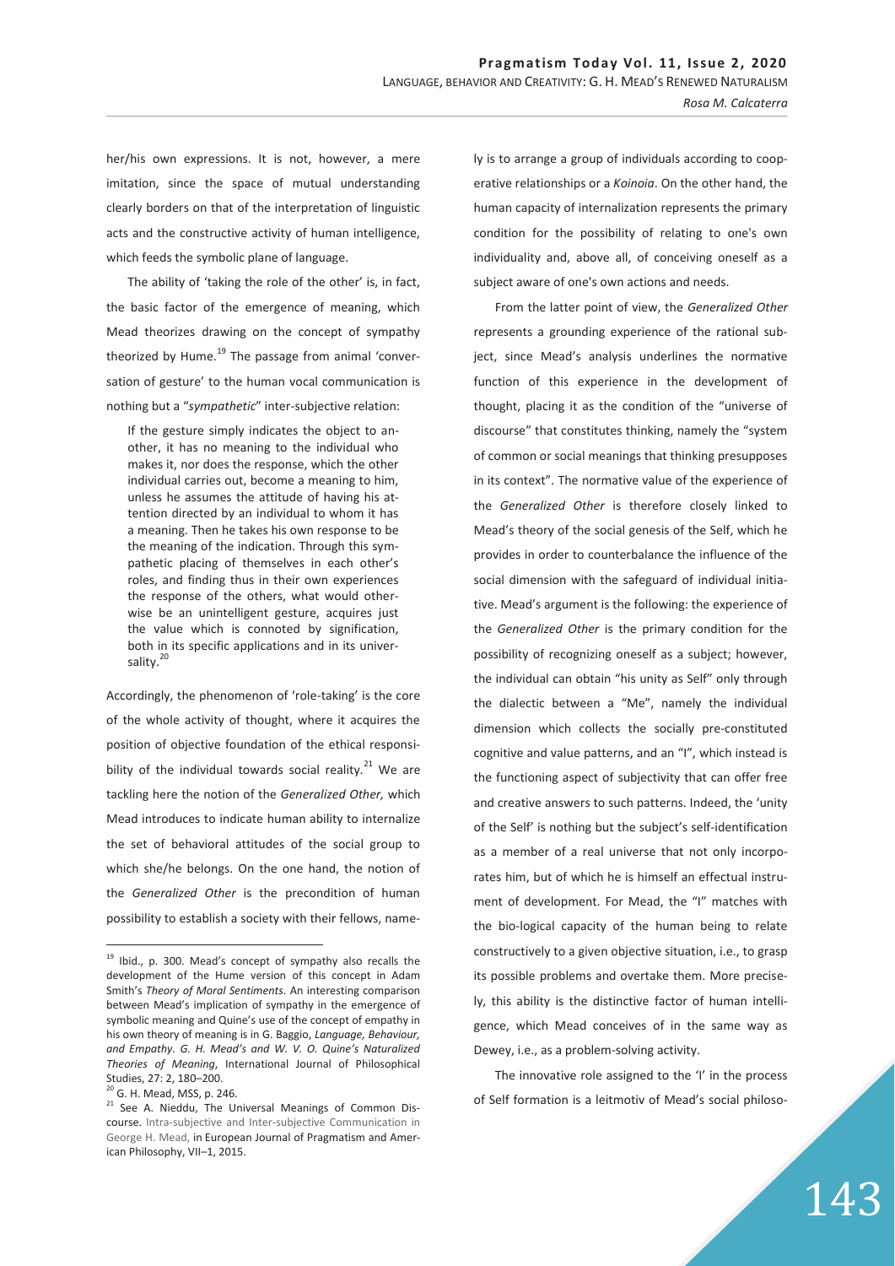her/his own expressions. It is not, however, a mere imitation, since the space of mutual understanding clearly borders on that of the interpretation of linguistic acts and the constructive activity of human intelligence, which feeds the symbolic plane of language.

The ability of 'taking the role of the other' is, in fact, the basic factor of the emergence of meaning, which Mead theorizes drawing on the concept of sympathy theorized by Hume. $19$  The passage from animal 'conversation of gesture' to the human vocal communication is nothing but a "*sympathetic*" inter-subjective relation:

If the gesture simply indicates the object to another, it has no meaning to the individual who makes it, nor does the response, which the other individual carries out, become a meaning to him, unless he assumes the attitude of having his attention directed by an individual to whom it has a meaning. Then he takes his own response to be the meaning of the indication. Through this sympathetic placing of themselves in each other's roles, and finding thus in their own experiences the response of the others, what would otherwise be an unintelligent gesture, acquires just the value which is connoted by signification, both in its specific applications and in its universality.<sup>20</sup>

Accordingly, the phenomenon of 'role-taking' is the core of the whole activity of thought, where it acquires the position of objective foundation of the ethical responsibility of the individual towards social reality. $21$  We are tackling here the notion of the *Generalized Other,* which Mead introduces to indicate human ability to internalize the set of behavioral attitudes of the social group to which she/he belongs. On the one hand, the notion of the *Generalized Other* is the precondition of human possibility to establish a society with their fellows, name-

 $\overline{a}$ 

ly is to arrange a group of individuals according to cooperative relationships or a *Koinoia*. On the other hand, the human capacity of internalization represents the primary condition for the possibility of relating to one's own individuality and, above all, of conceiving oneself as a subject aware of one's own actions and needs.

From the latter point of view, the *Generalized Other* represents a grounding experience of the rational subject, since Mead's analysis underlines the normative function of this experience in the development of thought, placing it as the condition of the "universe of discourse" that constitutes thinking, namely the "system of common or social meanings that thinking presupposes in its context". The normative value of the experience of the *Generalized Other* is therefore closely linked to Mead's theory of the social genesis of the Self, which he provides in order to counterbalance the influence of the social dimension with the safeguard of individual initiative. Mead's argument is the following: the experience of the *Generalized Other* is the primary condition for the possibility of recognizing oneself as a subject; however, the individual can obtain "his unity as Self" only through the dialectic between a "Me", namely the individual dimension which collects the socially pre-constituted cognitive and value patterns, and an "I", which instead is the functioning aspect of subjectivity that can offer free and creative answers to such patterns. Indeed, the 'unity of the Self' is nothing but the subject's self-identification as a member of a real universe that not only incorporates him, but of which he is himself an effectual instrument of development. For Mead, the "I" matches with the bio-logical capacity of the human being to relate constructively to a given objective situation, i.e., to grasp its possible problems and overtake them. More precisely, this ability is the distinctive factor of human intelligence, which Mead conceives of in the same way as Dewey, i.e., as a problem-solving activity.

The innovative role assigned to the 'I' in the process of Self formation is a leitmotiv of Mead's social philoso-

<sup>&</sup>lt;sup>19</sup> Ibid., p. 300. Mead's concept of sympathy also recalls the development of the Hume version of this concept in Adam Smith's *Theory of Moral Sentiments*. An interesting comparison between Mead's implication of sympathy in the emergence of symbolic meaning and Quine's use of the concept of empathy in his own theory of meaning is in G. Baggio, *Language, Behaviour, and Empathy. G. H. Mead's and W. V. O. Quine's Naturalized Theories of Meaning*, International Journal of Philosophical Studies, 27: 2, 180–200.

<sup>&</sup>lt;sup>20</sup> G. H. Mead, MSS, p. 246.

<sup>&</sup>lt;sup>21</sup> See A. Nieddu, The Universal Meanings of Common Discourse. Intra-subjective and Inter-subjective Communication in George H. Mead, in European Journal of Pragmatism and American Philosophy, VII–1, 2015.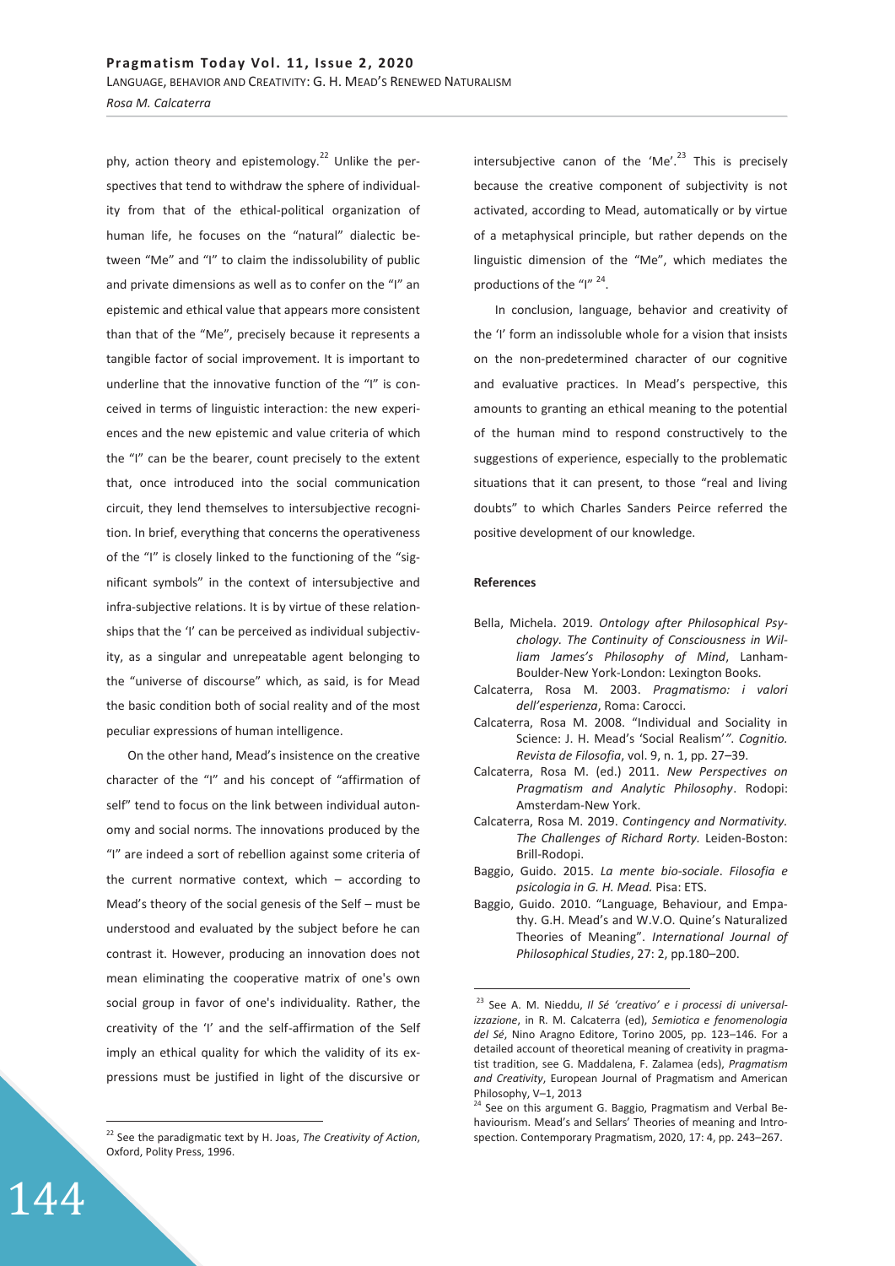phy, action theory and epistemology.<sup>22</sup> Unlike the perspectives that tend to withdraw the sphere of individuality from that of the ethical-political organization of human life, he focuses on the "natural" dialectic between "Me" and "I" to claim the indissolubility of public and private dimensions as well as to confer on the "I" an epistemic and ethical value that appears more consistent than that of the "Me", precisely because it represents a tangible factor of social improvement. It is important to underline that the innovative function of the "I" is conceived in terms of linguistic interaction: the new experiences and the new epistemic and value criteria of which the "I" can be the bearer, count precisely to the extent that, once introduced into the social communication circuit, they lend themselves to intersubjective recognition. In brief, everything that concerns the operativeness of the "I" is closely linked to the functioning of the "significant symbols" in the context of intersubjective and infra-subjective relations. It is by virtue of these relationships that the 'I' can be perceived as individual subjectivity, as a singular and unrepeatable agent belonging to the "universe of discourse" which, as said, is for Mead the basic condition both of social reality and of the most peculiar expressions of human intelligence.

On the other hand, Mead's insistence on the creative character of the "I" and his concept of "affirmation of self" tend to focus on the link between individual autonomy and social norms. The innovations produced by the "I" are indeed a sort of rebellion against some criteria of the current normative context, which – according to Mead's theory of the social genesis of the Self – must be understood and evaluated by the subject before he can contrast it. However, producing an innovation does not mean eliminating the cooperative matrix of one's own social group in favor of one's individuality. Rather, the creativity of the 'I' and the self-affirmation of the Self imply an ethical quality for which the validity of its expressions must be justified in light of the discursive or

144

 $\overline{a}$ 

intersubjective canon of the 'Me'.<sup>23</sup> This is precisely because the creative component of subjectivity is not activated, according to Mead, automatically or by virtue of a metaphysical principle, but rather depends on the linguistic dimension of the "Me", which mediates the productions of the "I"<sup>24</sup>.

In conclusion, language, behavior and creativity of the 'I' form an indissoluble whole for a vision that insists on the non-predetermined character of our cognitive and evaluative practices. In Mead's perspective, this amounts to granting an ethical meaning to the potential of the human mind to respond constructively to the suggestions of experience, especially to the problematic situations that it can present, to those "real and living doubts" to which Charles Sanders Peirce referred the positive development of our knowledge.

## **References**

-

- Bella, Michela. 2019. *Ontology after Philosophical Psychology. The Continuity of Consciousness in William James's Philosophy of Mind*, Lanham-Boulder-New York-London: Lexington Books.
- Calcaterra, Rosa M. 2003. *Pragmatismo: i valori dell'esperienza*, Roma: Carocci.
- Calcaterra, Rosa M. 2008. "Individual and Sociality in Science: J. H. Mead's 'Social Realism'*"*. *Cognitio. Revista de Filosofia*, vol. 9, n. 1, pp. 27–39.
- Calcaterra, Rosa M. (ed.) 2011. *New Perspectives on Pragmatism and Analytic Philosophy*. Rodopi: Amsterdam-New York.
- Calcaterra, Rosa M. 2019. *Contingency and Normativity. The Challenges of Richard Rorty.* Leiden-Boston: Brill-Rodopi.
- Baggio, Guido. 2015. *La mente bio-sociale*. *Filosofia e psicologia in G. H. Mead.* Pisa: ETS.
- Baggio, Guido. 2010. "Language, Behaviour, and Empathy. G.H. Mead's and W.V.O. Quine's Naturalized Theories of Meaning". *International Journal of Philosophical Studies*, 27: 2, pp.180–200.

<sup>22</sup> See the paradigmatic text by H. Joas, *The Creativity of Action*, Oxford, Polity Press, 1996.

<sup>23</sup> See A. M. Nieddu, *Il Sé 'creativo' e i processi di universalizzazione*, in R. M. Calcaterra (ed), *Semiotica e fenomenologia del Sé*, Nino Aragno Editore, Torino 2005, pp. 123–146. For a detailed account of theoretical meaning of creativity in pragmatist tradition, see G. Maddalena, F. Zalamea (eds), *Pragmatism and Creativity*, European Journal of Pragmatism and American Philosophy, V-1, 2013

<sup>&</sup>lt;sup>24</sup> See on this argument G. Baggio, Pragmatism and Verbal Behaviourism. Mead's and Sellars' Theories of meaning and Introspection. Contemporary Pragmatism, 2020, 17: 4, pp. 243–267.